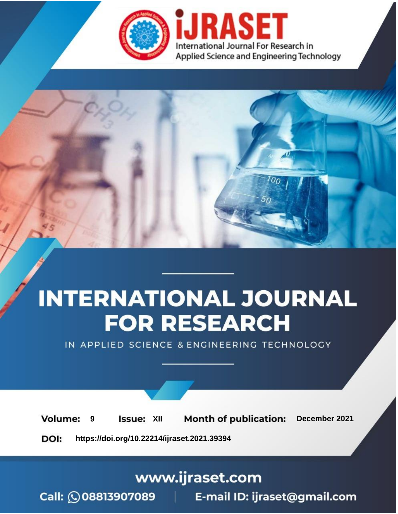



IN APPLIED SCIENCE & ENGINEERING TECHNOLOGY

**9 Issue:** XII **Month of publication:** December 2021 **Volume: https://doi.org/10.22214/ijraset.2021.39394**DOI:

www.ijraset.com

Call: 008813907089 | E-mail ID: ijraset@gmail.com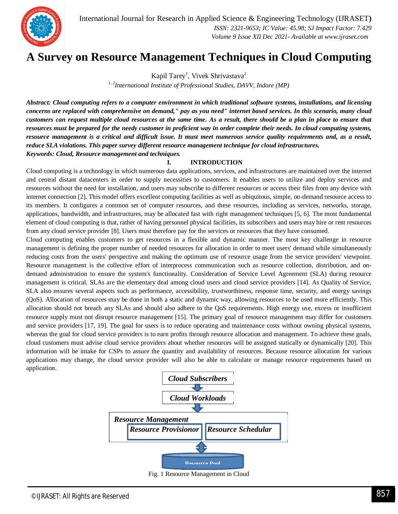



## **A Survey on Resource Management Techniques in Cloud Computing**

Kapil Tarey<sup>1</sup>, Vivek Shrivastava<sup>2</sup>

*1, 2International Institute of Professional Studies, DAVV, Indore (MP)*

*Abstract: Cloud computing refers to a computer environment in which traditional software systems, installations, and licensing concerns are replaced with comprehensive on demand," pay as you need" internet based services. In this scenario, many cloud customers can request multiple cloud resources at the same time. As a result, there should be a plan in place to ensure that resources must be prepared for the needy customer in proficient way in order complete their needs. In cloud computing systems, resource management is a critical and difficult issue. It must meet numerous service quality requirements and, as a result, reduce SLA violations. This paper survey different resource management technique for cloud infrastructures. Keywords: Cloud, Resource management and techniques.*

#### **I. INTRODUCTION**

Cloud computing is a technology in which numerous data applications, services, and infrastructures are maintained over the internet and central distant datacenters in order to supply necessities to customers. It enables users to utilize and deploy services and resources without the need for installation, and users may subscribe to different resources or access their files from any device with internet connection [2]. This model offers excellent computing facilities as well as ubiquitous, simple, on-demand resource access to its members. It configures a common set of computer resources, and these resources, including as services, networks, storage, applications, bandwidth, and infrastructures, may be allocated fast with right management techniques [5, 6]. The most fundamental element of cloud computing is that, rather of having personnel physical facilities, its subscribers and users may hire or rent resources from any cloud service provider [8]. Users must therefore pay for the services or resources that they have consumed.

Cloud computing enables customers to get resources in a flexible and dynamic manner. The most key challenge in resource management is defining the proper number of needed resources for allocation in order to meet users' demand while simultaneously reducing costs from the users' perspective and making the optimum use of resource usage from the service providers' viewpoint. Resource management is the collective effort of interprocess communication such as resource collection, distribution, and ondemand administration to ensure the system's functionality. Consideration of Service Level Agreement (SLA) during resource management is critical. SLAs are the elementary deal among cloud users and cloud service providers [14]. As Quality of Service, SLA also ensures several aspects such as performance, accessibility, trustworthiness, response time, security, and energy savings (QoS). Allocation of resources may be done in both a static and dynamic way, allowing resources to be used more efficiently. This allocation should not breach any SLAs and should also adhere to the QoS requirements. High energy use, excess or insufficient resource supply must not disrupt resource management [15]. The primary goal of resource management may differ for customers and service providers [17, 19]. The goal for users is to reduce operating and maintenance costs without owning physical systems, whereas the goal for cloud service providers is to earn profits through resource allocation and management. To achieve these goals, cloud customers must advise cloud service providers about whether resources will be assigned statically or dynamically [20]. This information will be intake for CSPs to assure the quantity and availability of resources. Because resource allocation for various applications may change, the cloud service provider will also be able to calculate or manage resource requirements based on application.

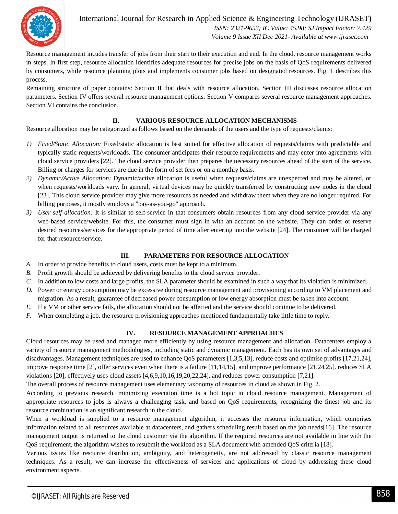

International Journal for Research in Applied Science & Engineering Technology (IJRASET**)**  *ISSN: 2321-9653; IC Value: 45.98; SJ Impact Factor: 7.429 Volume 9 Issue XII Dec 2021- Available at www.ijraset.com*

Resource management incudes transfer of jobs from their start to their execution and end. In the cloud, resource management works in steps. In first step, resource allocation identifies adequate resources for precise jobs on the basis of QoS requirements delivered by consumers, while resource planning plots and implements consumer jobs based on designated resources. Fig. 1 describes this process.

Remaining structure of paper contains: Section II that deals with resource allocation. Section III discusses resource allocation parameters. Section IV offers several resource management options. Section V compares several resource management approaches. Section VI contains the conclusion.

#### **II. VARIOUS RESOURCE ALLOCATION MECHANISMS**

Resource allocation may be categorized as follows based on the demands of the users and the type of requests/claims:

- *1) Fixed/Static Allocation:* Fixed/static allocation is best suited for effective allocation of requests/claims with predictable and typically static requests/workloads. The consumer anticipates their resource requirements and may enter into agreements with cloud service providers [22]. The cloud service provider then prepares the necessary resources ahead of the start of the service. Billing or charges for services are due in the form of set fees or on a monthly basis.
- *2) Dynamic/Active Allocation:* Dynamic/active allocation is useful when requests/claims are unexpected and may be altered, or when requests/workloads vary. In general, virtual devices may be quickly transferred by constructing new nodes in the cloud [23]. This cloud service provider may give more resources as needed and withdraw them when they are no longer required. For billing purposes, it mostly employs a "pay-as-you-go" approach.
- *3) User self-allocation:* It is similar to self-service in that consumers obtain resources from any cloud service provider via any web-based service/website. For this, the consumer must sign in with an account on the website. They can order or reserve desired resources/services for the appropriate period of time after entering into the website [24]. The consumer will be charged for that resource/service.

#### **III. PARAMETERS FOR RESOURCE ALLOCATION**

- *A.* In order to provide benefits to cloud users, costs must be kept to a minimum.
- *B.* Profit growth should be achieved by delivering benefits to the cloud service provider.
- *C.* In addition to low costs and large profits, the SLA parameter should be examined in such a way that its violation is minimized.
- *D.* Power or energy consumption may be excessive during resource management and provisioning according to VM placement and migration. As a result, guarantee of decreased power consumption or low energy absorption must be taken into account.
- *E.* If a VM or other service fails, the allocation should not be affected and the service should continue to be delivered.
- *F.* When completing a job, the resource provisioning approaches mentioned fundamentally take little time to reply.

#### **IV. RESOURCE MANAGEMENT APPROACHES**

Cloud resources may be used and managed more efficiently by using resource management and allocation. Datacenters employ a variety of resource management methodologies, including static and dynamic management. Each has its own set of advantages and disadvantages. Management techniques are used to enhance QoS parameters [1,3,5,13], reduce costs and optimise profits [17,21,24], improve response time [2], offer services even when there is a failure [11,14,15], and improve performance [21,24,25]. reduces SLA violations [20], effectively uses cloud assets [4,6,9,10,16,19,20,22,24], and reduces power consumption [7,21].

The overall process of resource management uses elementary taxonomy of resources in cloud as shown in Fig. 2.

According to previous research, minimizing execution time is a hot topic in cloud resource management. Management of appropriate resources to jobs is always a challenging task, and based on QoS requirements, recognizing the finest job and its resource combination is an significant research in the cloud.

When a workload is supplied to a resource management algorithm, it accesses the resource information, which comprises information related to all resources available at datacenters, and gathers scheduling result based on the job needs[16]. The resource management output is returned to the cloud customer via the algorithm. If the required resources are not available in line with the QoS requirement, the algorithm wishes to resubmit the workload as a SLA document with amended QoS criteria [18].

Various issues like resource distribution, ambiguity, and heterogeneity, are not addressed by classic resource management techniques. As a result, we can increase the effectiveness of services and applications of cloud by addressing these cloud environment aspects.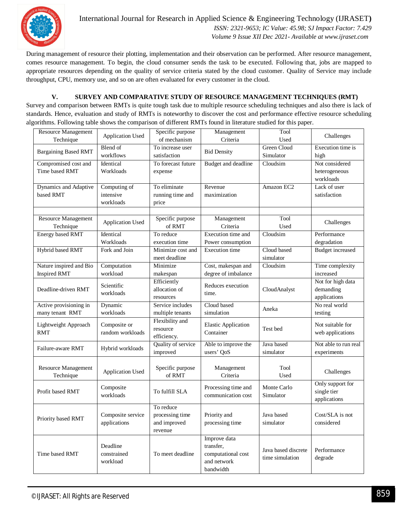

International Journal for Research in Applied Science & Engineering Technology (IJRASET**)**  *ISSN: 2321-9653; IC Value: 45.98; SJ Impact Factor: 7.429 Volume 9 Issue XII Dec 2021- Available at www.ijraset.com*

During management of resource their plotting, implementation and their observation can be performed. After resource management, comes resource management. To begin, the cloud consumer sends the task to be executed. Following that, jobs are mapped to appropriate resources depending on the quality of service criteria stated by the cloud customer. Quality of Service may include throughput, CPU, memory use, and so on are often evaluated for every customer in the cloud.

#### **V. SURVEY AND COMPARATIVE STUDY OF RESOURCE MANAGEMENT TECHNIQUES (RMT)**

Survey and comparison between RMTs is quite tough task due to multiple resource scheduling techniques and also there is lack of standards. Hence, evaluation and study of RMTs is noteworthy to discover the cost and performance effective resource scheduling algorithms. Following table shows the comparison of different RMTs found in literature studied for this paper.

| Resource Management         | <b>Application Used</b> | Specific purpose   | Management                 | Tool                | Challenges              |
|-----------------------------|-------------------------|--------------------|----------------------------|---------------------|-------------------------|
| Technique                   |                         | of mechanism       | Criteria                   | Used                |                         |
| <b>Bargaining Based RMT</b> | <b>Blend</b> of         | To increase user   | <b>Bid Density</b>         | Green Cloud         | Execution time is       |
|                             | workflows               | satisfaction       |                            | Simulator           | high                    |
| Compromised cost and        | Identical               | To forecast future | <b>Budget and deadline</b> | Cloudsim            | Not considered          |
| Time based RMT              | Workloads               | expense            |                            |                     | heterogeneous           |
|                             |                         |                    |                            |                     | workloads               |
| Dynamics and Adaptive       | Computing of            | To eliminate       | Revenue                    | Amazon EC2          | Lack of user            |
| based RMT                   | intensive               | running time and   | maximization               |                     | satisfaction            |
|                             | workloads               | price              |                            |                     |                         |
|                             |                         |                    |                            |                     |                         |
| <b>Resource Management</b>  |                         | Specific purpose   | Management                 | Tool                |                         |
| Technique                   | <b>Application Used</b> | of RMT             | Criteria                   | Used                | Challenges              |
| <b>Energy based RMT</b>     | Identical               | To reduce          | Execution time and         | Cloudsim            | Performance             |
|                             | Workloads               | execution time     | Power consumption          |                     | degradation             |
| Hybrid based RMT            | Fork and Join           | Minimize cost and  | <b>Execution</b> time      | Cloud based         | <b>Budget</b> increased |
|                             |                         | meet deadline      |                            | simulator           |                         |
| Nature inspired and Bio     | Computation             | Minimize           | Cost, makespan and         | Cloudsim            | Time complexity         |
| Inspired RMT                | workload                | makespan           | degree of imbalance        |                     | increased               |
|                             |                         | Efficiently        |                            |                     | Not for high data       |
| Deadline-driven RMT         | Scientific              | allocation of      | Reduces execution          | CloudAnalyst        | demanding               |
|                             | workloads               | resources          | time.                      |                     | applications            |
| Active provisioning in      | Dynamic                 | Service includes   | Cloud based                |                     | No real world           |
| many tenant RMT             | workloads               | multiple tenants   | simulation                 | Aneka               | testing                 |
|                             |                         | Flexibility and    |                            |                     |                         |
| Lightweight Approach        | Composite or            | resource           | <b>Elastic Application</b> | Test bed            | Not suitable for        |
| <b>RMT</b>                  | random workloads        | efficiency.        | Container                  |                     | web applications        |
|                             |                         | Quality of service | Able to improve the        | Java based          | Not able to run real    |
| Failure-aware RMT           | Hybrid workloads        | improved           | users' QoS                 | simulator           | experiments             |
|                             |                         |                    |                            |                     |                         |
| Resource Management         |                         | Specific purpose   | Management                 | Tool                |                         |
| Technique                   | <b>Application Used</b> | of RMT             | Criteria                   | Used                | Challenges              |
|                             |                         |                    |                            |                     | Only support for        |
| Profit based RMT            | Composite               | To fulfill SLA     | Processing time and        | Monte Carlo         | single tier             |
|                             | workloads               |                    | communication cost         | Simulator           | applications            |
|                             |                         | To reduce          |                            |                     |                         |
|                             |                         | processing time    |                            | Java based          | Cost/SLA is not         |
| Priority based RMT          | Composite service       |                    | Priority and               |                     |                         |
|                             | applications            | and improved       | processing time            | simulator           | considered              |
|                             |                         | revenue            |                            |                     |                         |
|                             |                         |                    | Improve data               |                     |                         |
|                             | Deadline                |                    | transfer,                  | Java based discrete | Performance             |
| Time based RMT              | constrained             | To meet deadline   | computational cost         | time simulation     | degrade                 |
|                             | workload                |                    | and network                |                     |                         |
|                             |                         |                    | bandwidth                  |                     |                         |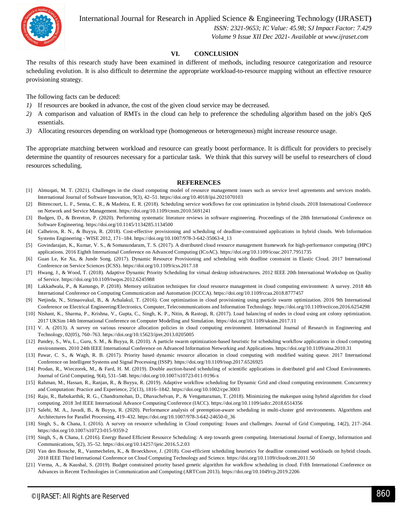

International Journal for Research in Applied Science & Engineering Technology (IJRASET**)**

 *ISSN: 2321-9653; IC Value: 45.98; SJ Impact Factor: 7.429 Volume 9 Issue XII Dec 2021- Available at www.ijraset.com*

#### **VI. CONCLUSION**

The results of this research study have been examined in different of methods, including resource categorization and resource scheduling evolution. It is also difficult to determine the appropriate workload-to-resource mapping without an effective resource provisioning strategy.

The following facts can be deduced:

- *1*) If resources are booked in advance, the cost of the given cloud service may be decreased.
- *2)* A comparison and valuation of RMTs in the cloud can help to preference the scheduling algorithm based on the job's QoS essentials.
- *3)* Allocating resources depending on workload type (homogeneous or heterogeneous) might increase resource usage.

The appropriate matching between workload and resource can greatly boost performance. It is difficult for providers to precisely determine the quantity of resources necessary for a particular task. We think that this survey will be useful to researchers of cloud resources scheduling.

#### **REFERENCES**

- [1] Almuqati, M. T. (2021). Challenges in the cloud computing model of resource management issues such as service level agreements and services models. International Journal of Software Innovation, 9(3), 42–51. https://doi.org/10.4018/ijsi.2021070103
- [2] Bittencourt, L. F., Senna, C. R., & Madeira, E. R. (2018). Scheduling service workflows for cost optimization in hybrid clouds. 2018 International Conference on Network and Service Management. https://doi.org/10.1109/cnsm.2010.5691241
- [3] Budgen, D., & Brereton, P. (2020). Performing systematic literature reviews in software engineering. Proceedings of the 28th International Conference on Software Engineering. https://doi.org/10.1145/1134285.1134500
- [4] Calheiros, R. N., & Buyya, R. (2018). Cost-effective provisioning and scheduling of deadline-constrained applications in hybrid clouds. Web Information Systems Engineering - WISE 2012, 171–184. https://doi.org/10.1007/978-3-642-35063-4\_13
- [5] Govindarajan, K., Kumar, V. S., & Somasundaram, T. S. (2017). A distributed cloud resource management framework for high-performance computing (HPC) applications. 2016 Eighth International Conference on Advanced Computing (ICoAC). https://doi.org/10.1109/icoac.2017.7951735
- [6] Guan Le, Ke Xu, & Junde Song. (2017). Dynamic Resource Provisioning and scheduling with deadline constraint in Elastic Cloud. 2017 International Conference on Service Sciences (ICSS). https://doi.org/10.1109/icss.2017.18
- [7] Hwang, J., & Wood, T. (2018). Adaptive Dynamic Priority Scheduling for virtual desktop infrastructures. 2012 IEEE 20th International Workshop on Quality of Service. https://doi.org/10.1109/iwqos.2012.6245988
- [8] Lakkadwala, P., & Kanungo, P. (2018). Memory utilization techniques for cloud resource management in cloud computing environment: A survey. 2018 4th International Conference on Computing Communication and Automation (ICCCA). https://doi.org/10.1109/ccaa.2018.8777457
- [9] Netjinda, N., Sirinaovakul, B., & Achalakul, T. (2016). Cost optimization in cloud provisioning using particle swarm optimization. 2016 9th International Conference on Electrical Engineering/Electronics, Computer, Telecommunications and Information Technology. https://doi.org/10.1109/ecticon.2016.6254298
- [10] Nishant, K., Sharma, P., Krishna, V., Gupta, C., Singh, K. P., Nitin, & Rastogi, R. (2017). Load balancing of nodes in cloud using ant colony optimization. 2017 UKSim 14th International Conference on Computer Modelling and Simulation. https://doi.org/10.1109/uksim.2017.11
- [11] V. A. (2013). A survey on various resource allocation policies in cloud computing environment. International Journal of Research in Engineering and Technology, 02(05), 760–763. https://doi.org/10.15623/ijret.2013.0205005
- [12] Pandey, S., Wu, L., Guru, S. M., & Buyya, R. (2010). A particle swarm optimization-based heuristic for scheduling workflow applications in cloud computing environments. 2010 24th IEEE International Conference on Advanced Information Networking and Applications. https://doi.org/10.1109/aina.2010.31
- [13] Pawar, C. S., & Wagh, R. B. (2017). Priority based dynamic resource allocation in cloud computing with modified waiting queue. 2017 International Conference on Intelligent Systems and Signal Processing (ISSP). https://doi.org/10.1109/issp.2017.6526925
- [14] Prodan, R., Wieczorek, M., & Fard, H. M. (2019). Double auction-based scheduling of scientific applications in distributed grid and Cloud Environments. Journal of Grid Computing, 9(4), 531–548. https://doi.org/10.1007/s10723-011-9196-x
- [15] Rahman, M., Hassan, R., Ranjan, R., & Buyya, R. (2019). Adaptive workflow scheduling for Dynamic Grid and cloud computing environment. Concurrency and Computation: Practice and Experience, 25(13), 1816–1842. https://doi.org/10.1002/cpe.3003
- [16] Raju, R., Babukarthik, R. G., Chandramohan, D., Dhavachelvan, P., & Vengattaraman, T. (2018). Minimizing the makespan using hybrid algorithm for cloud computing. 2018 3rd IEEE International Advance Computing Conference (IACC). https://doi.org/10.1109/iadcc.2018.6514356
- [17] Salehi, M. A., Javadi, B., & Buyya, R. (2020). Performance analysis of preemption-aware scheduling in multi-cluster grid environments. Algorithms and Architectures for Parallel Processing, 419–432. https://doi.org/10.1007/978-3-642-24650-0\_36
- [18] Singh, S., & Chana, I. (2016). A survey on resource scheduling in Cloud computing: Issues and challenges. Journal of Grid Computing, 14(2), 217–264. https://doi.org/10.1007/s10723-015-9359-2
- [19] Singh, S., & Chana, I. (2016). Energy Based Efficient Resource Scheduling: A step towards green computing. International Journal of Energy, Information and Communications, 5(2), 35–52. https://doi.org/10.14257/ijeic.2016.5.2.03
- [20] Van den Bossche, R., Vanmechelen, K., & Broeckhove, J. (2018). Cost-efficient scheduling heuristics for deadline constrained workloads on hybrid clouds. 2018 IEEE Third International Conference on Cloud Computing Technology and Science. https://doi.org/10.1109/cloudcom.2011.50
- [21] Verma, A., & Kaushal, S. (2019). Budget constrained priority based genetic algorithm for workflow scheduling in cloud. Fifth International Conference on Advances in Recent Technologies in Communication and Computing (ARTCom 2013). https://doi.org/10.1049/cp.2019.2206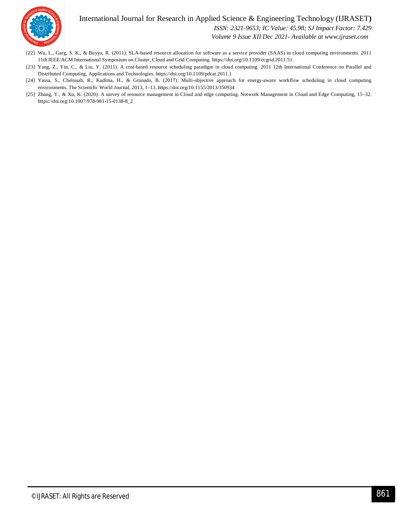### International Journal for Research in Applied Science & Engineering Technology (IJRASET**)**



 *ISSN: 2321-9653; IC Value: 45.98; SJ Impact Factor: 7.429*

 *Volume 9 Issue XII Dec 2021- Available at www.ijraset.com*

- [22] Wu, L., Garg, S. K., & Buyya, R. (2011). SLA-based resource allocation for software as a service provider (SAAS) in cloud computing environments. 2011 11th IEEE/ACM International Symposium on Cluster, Cloud and Grid Computing. https://doi.org/10.1109/ccgrid.2011.51
- [23] Yang, Z., Yin, C., & Liu, Y. (2011). A cost-based resource scheduling paradigm in cloud computing. 2011 12th International Conference on Parallel and Distributed Computing, Applications and Technologies. https://doi.org/10.1109/pdcat.2011.1
- [24] Yassa, S., Chelouah, R., Kadima, H., & Granado, B. (2017). Multi-objective approach for energy-aware workflow scheduling in cloud computing environments. The Scientific World Journal, 2013, 1–13. https://doi.org/10.1155/2013/350934
- [25] Zhang, Y., & Xu, K. (2020). A survey of resource management in Cloud and edge computing. Network Management in Cloud and Edge Computing, 15–32. https://doi.org/10.1007/978-981-15-0138-8\_2